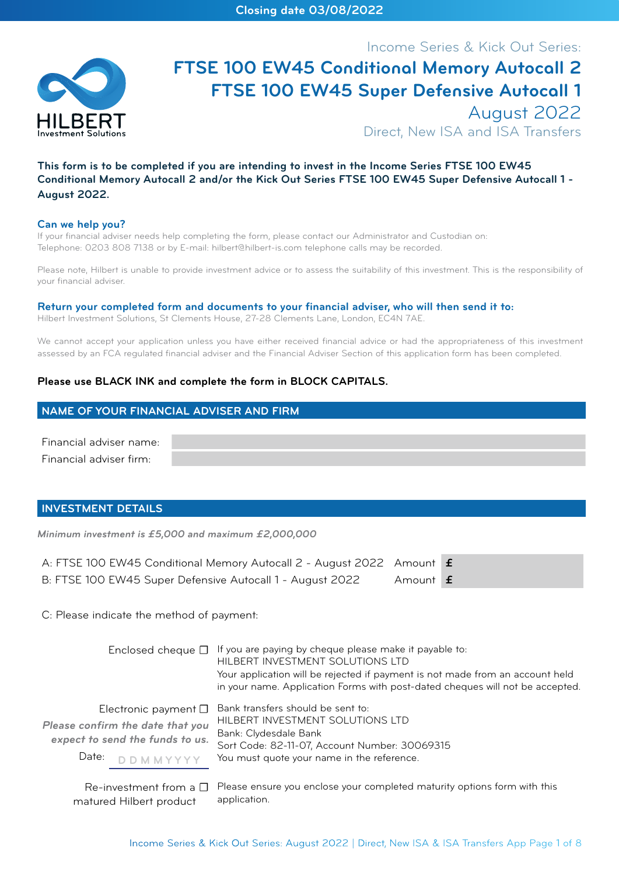

# Income Series & Kick Out Series: **FTSE 100 EW45 Conditional Memory Autocall 2 FTSE 100 EW45 Super Defensive Autocall 1** August 2022

Direct, New ISA and ISA Transfers

# **This form is to be completed if you are intending to invest in the Income Series FTSE 100 EW45 Conditional Memory Autocall 2 and/or the Kick Out Series FTSE 100 EW45 Super Defensive Autocall 1 - August 2022.**

#### **Can we help you?**

If your financial adviser needs help completing the form, please contact our Administrator and Custodian on: Telephone: 0203 808 7138 or by E-mail: hilbert@hilbert-is.com telephone calls may be recorded.

Please note, Hilbert is unable to provide investment advice or to assess the suitability of this investment. This is the responsibility of your financial adviser.

#### **Return your completed form and documents to your financial adviser, who will then send it to:**

Hilbert Investment Solutions, St Clements House, 27-28 Clements Lane, London, EC4N 7AE.

We cannot accept your application unless you have either received financial advice or had the appropriateness of this investment assessed by an FCA regulated financial adviser and the Financial Adviser Section of this application form has been completed.

## **Please use BLACK INK and complete the form in BLOCK CAPITALS.**

### **NAME OF YOUR FINANCIAL ADVISER AND FIRM**

Financial adviser name: Financial adviser firm:

### **INVESTMENT DETAILS**

*Minimum investment is £5,000 and maximum £2,000,000*

| A: FTSE 100 EW45 Conditional Memory Autocall 2 - August 2022 Amount £ |          |  |
|-----------------------------------------------------------------------|----------|--|
| B: FTSE 100 EW45 Super Defensive Autocall 1 - August 2022             | Amount f |  |

application.

C: Please indicate the method of payment:

matured Hilbert product

| Enclosed cheque $\square$                                                                                                       | If you are paying by cheque please make it payable to:<br>HILBERT INVESTMENT SOLUTIONS LTD<br>Your application will be rejected if payment is not made from an account held<br>in your name. Application Forms with post-dated cheques will not be accepted. |
|---------------------------------------------------------------------------------------------------------------------------------|--------------------------------------------------------------------------------------------------------------------------------------------------------------------------------------------------------------------------------------------------------------|
| Electronic payment $\square$<br>Please confirm the date that you<br>expect to send the funds to us.<br>Date:<br><b>DDMMYYYY</b> | Bank transfers should be sent to:<br>HILBERT INVESTMENT SOLUTIONS LTD<br>Bank: Clydesdale Bank<br>Sort Code: 82-11-07, Account Number: 30069315<br>You must quote your name in the reference.                                                                |
|                                                                                                                                 | $Re$ -investment from a $\square$ Please ensure you enclose your completed maturity options form with this                                                                                                                                                   |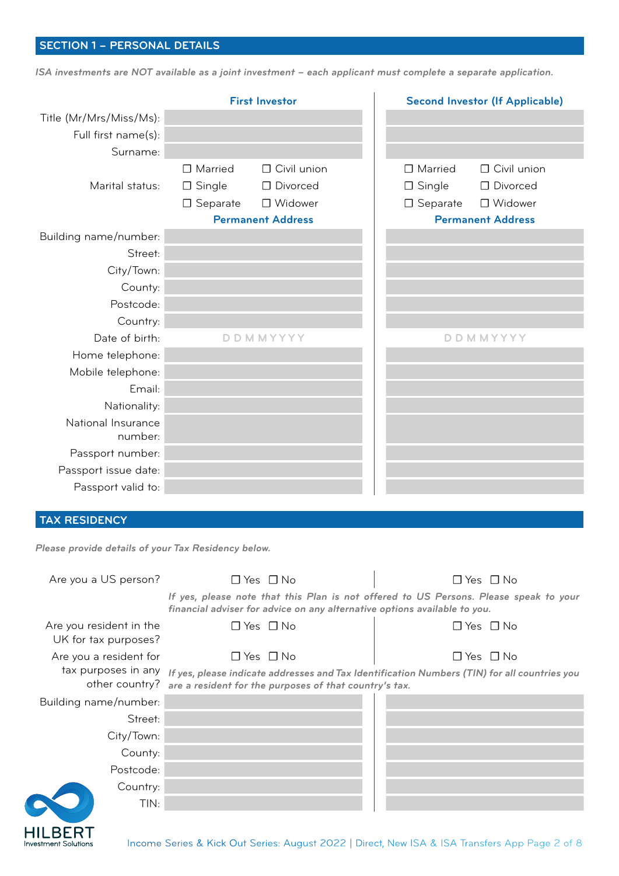# **SECTION 1 – PERSONAL DETAILS**

TIN:

**HILBERT Investment Solutions** 

*ISA investments are NOT available as a joint investment – each applicant must complete a separate application.*

|                                                     |                                                  | <b>First Investor</b>                                                                                                                                              |                                                       | <b>Second Investor (If Applicable)</b>                                    |
|-----------------------------------------------------|--------------------------------------------------|--------------------------------------------------------------------------------------------------------------------------------------------------------------------|-------------------------------------------------------|---------------------------------------------------------------------------|
| Title (Mr/Mrs/Miss/Ms):                             |                                                  |                                                                                                                                                                    |                                                       |                                                                           |
| Full first name(s):                                 |                                                  |                                                                                                                                                                    |                                                       |                                                                           |
| Surname:                                            |                                                  |                                                                                                                                                                    |                                                       |                                                                           |
| Marital status:                                     | □ Married<br>$\square$ Single<br>$\Box$ Separate | $\Box$ Civil union<br>□ Divorced<br>□ Widower<br><b>Permanent Address</b>                                                                                          | $\Box$ Married<br>$\square$ Single<br>$\Box$ Separate | $\Box$ Civil union<br>□ Divorced<br>□ Widower<br><b>Permanent Address</b> |
| Building name/number:                               |                                                  |                                                                                                                                                                    |                                                       |                                                                           |
| Street:                                             |                                                  |                                                                                                                                                                    |                                                       |                                                                           |
| City/Town:                                          |                                                  |                                                                                                                                                                    |                                                       |                                                                           |
| County:                                             |                                                  |                                                                                                                                                                    |                                                       |                                                                           |
| Postcode:                                           |                                                  |                                                                                                                                                                    |                                                       |                                                                           |
| Country:                                            |                                                  |                                                                                                                                                                    |                                                       |                                                                           |
| Date of birth:                                      |                                                  | <b>DDMMYYYY</b>                                                                                                                                                    |                                                       | <b>DDMMYYYY</b>                                                           |
| Home telephone:                                     |                                                  |                                                                                                                                                                    |                                                       |                                                                           |
| Mobile telephone:                                   |                                                  |                                                                                                                                                                    |                                                       |                                                                           |
| Email:                                              |                                                  |                                                                                                                                                                    |                                                       |                                                                           |
| Nationality:                                        |                                                  |                                                                                                                                                                    |                                                       |                                                                           |
| National Insurance<br>number:                       |                                                  |                                                                                                                                                                    |                                                       |                                                                           |
| Passport number:                                    |                                                  |                                                                                                                                                                    |                                                       |                                                                           |
| Passport issue date:                                |                                                  |                                                                                                                                                                    |                                                       |                                                                           |
| Passport valid to:                                  |                                                  |                                                                                                                                                                    |                                                       |                                                                           |
|                                                     |                                                  |                                                                                                                                                                    |                                                       |                                                                           |
| <b>TAX RESIDENCY</b>                                |                                                  |                                                                                                                                                                    |                                                       |                                                                           |
| Please provide details of your Tax Residency below. |                                                  |                                                                                                                                                                    |                                                       |                                                                           |
| Are you a US person?                                |                                                  | $\Box$ Yes $\Box$ No                                                                                                                                               |                                                       | $\Box$ Yes $\Box$ No                                                      |
|                                                     |                                                  | If yes, please note that this Plan is not offered to US Persons. Please speak to your<br>financial adviser for advice on any alternative options available to you. |                                                       |                                                                           |
| Are you resident in the<br>UK for tax purposes?     |                                                  | $\Box$ Yes $\Box$ No                                                                                                                                               |                                                       | $\Box$ Yes $\Box$ No                                                      |
| Are you a resident for                              |                                                  | $\Box$ Yes $\Box$ No                                                                                                                                               |                                                       | $\Box$ Yes $\Box$ No                                                      |
| tax purposes in any<br>other country?               |                                                  | If yes, please indicate addresses and Tax Identification Numbers (TIN) for all countries you<br>are a resident for the purposes of that country's tax.             |                                                       |                                                                           |
| Building name/number:                               |                                                  |                                                                                                                                                                    |                                                       |                                                                           |
| Street:                                             |                                                  |                                                                                                                                                                    |                                                       |                                                                           |
| City/Town:                                          |                                                  |                                                                                                                                                                    |                                                       |                                                                           |
| County:                                             |                                                  |                                                                                                                                                                    |                                                       |                                                                           |
| Postcode:                                           |                                                  |                                                                                                                                                                    |                                                       |                                                                           |
| Country:                                            |                                                  |                                                                                                                                                                    |                                                       |                                                                           |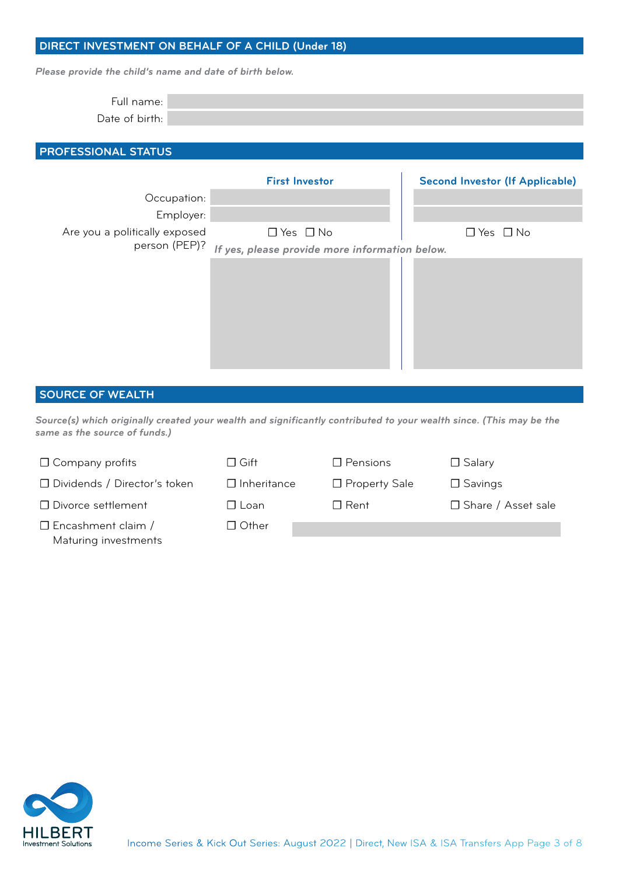# **DIRECT INVESTMENT ON BEHALF OF A CHILD (Under 18)**

*Please provide the child's name and date of birth below.*

| - |  |
|---|--|
|   |  |

# **PROFESSIONAL STATUS**

|                               | <b>First Investor</b>                          | <b>Second Investor (If Applicable)</b> |
|-------------------------------|------------------------------------------------|----------------------------------------|
| Occupation:                   |                                                |                                        |
| Employer:                     |                                                |                                        |
| Are you a politically exposed | $\Box$ Yes $\Box$ No                           | $\Box$ Yes $\Box$ No                   |
| person (PEP)?                 | If yes, please provide more information below. |                                        |
|                               |                                                |                                        |

## **SOURCE OF WEALTH**

*Source(s) which originally created your wealth and significantly contributed to your wealth since. (This may be the same as the source of funds.)*

| $\Box$ Company profits                            | $\Box$ Gift        | $\Box$ Pensions | $\Box$ Salary        |
|---------------------------------------------------|--------------------|-----------------|----------------------|
| □ Dividends / Director's token                    | $\Box$ Inheritance | □ Property Sale | $\Box$ Savings       |
| □ Divorce settlement                              | $\Box$ Loan        | $\Box$ Rent     | □ Share / Asset sale |
| $\Box$ Encashment claim /<br>Maturing investments | $\Box$ Other       |                 |                      |

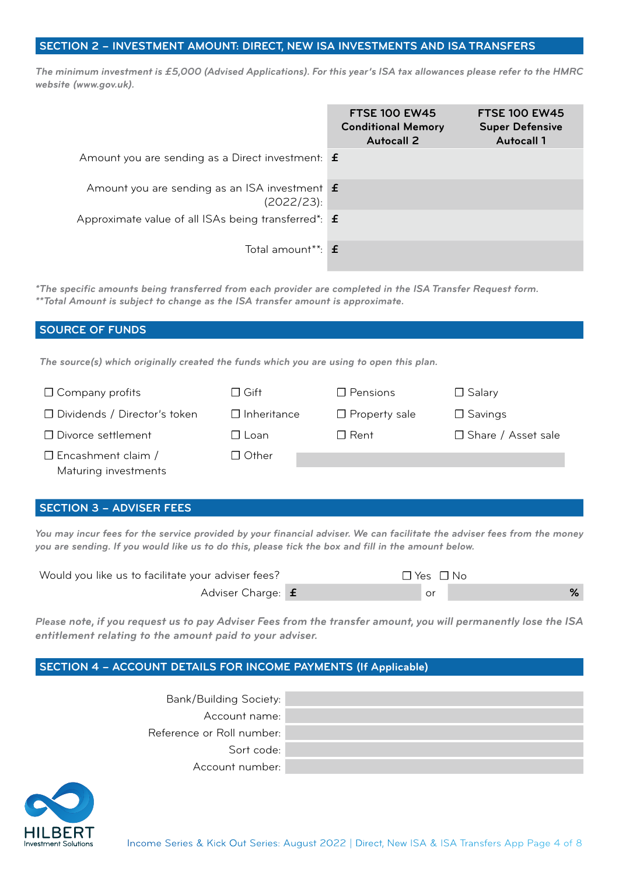## **SECTION 2 – INVESTMENT AMOUNT: DIRECT, NEW ISA INVESTMENTS AND ISA TRANSFERS**

*The minimum investment is £5,000 (Advised Applications). For this year's ISA tax allowances please refer to the HMRC website (www.gov.uk).*

|                                                                    | <b>FTSE 100 EW45</b><br><b>Conditional Memory</b><br><b>Autocall 2</b> | <b>FTSE 100 EW45</b><br><b>Super Defensive</b><br><b>Autocall 1</b> |
|--------------------------------------------------------------------|------------------------------------------------------------------------|---------------------------------------------------------------------|
| Amount you are sending as a Direct investment: $\mathbf f$         |                                                                        |                                                                     |
| Amount you are sending as an ISA investment <b>f</b><br>(2022/23): |                                                                        |                                                                     |
| Approximate value of all ISAs being transferred*: $\mathbf f$      |                                                                        |                                                                     |
| Total amount $*$ $\mathbf{f}$                                      |                                                                        |                                                                     |

*\*The specific amounts being transferred from each provider are completed in the ISA Transfer Request form. \*\*Total Amount is subject to change as the ISA transfer amount is approximate.*

# **SOURCE OF FUNDS**

*The source(s) which originally created the funds which you are using to open this plan.* 

| $\Box$ Company profits                            | $\Box$ Gift        | $\Box$ Pensions      | $\Box$ Salary        |
|---------------------------------------------------|--------------------|----------------------|----------------------|
| □ Dividends / Director's token                    | $\Box$ Inheritance | $\Box$ Property sale | $\Box$ Savings       |
| □ Divorce settlement                              | $\Box$ Loan        | $\Box$ Rent          | □ Share / Asset sale |
| $\Box$ Encashment claim /<br>Maturing investments | $\Box$ Other       |                      |                      |

# **SECTION 3 – ADVISER FEES**

*You may incur fees for the service provided by your financial adviser. We can facilitate the adviser fees from the money you are sending. If you would like us to do this, please tick the box and fill in the amount below.*

| Would you like us to facilitate your adviser fees? | $\Box$ Yes $\Box$ No |
|----------------------------------------------------|----------------------|
| Adviser Charge: f                                  | or                   |

*Please note, if you request us to pay Adviser Fees from the transfer amount, you will permanently lose the ISA entitlement relating to the amount paid to your adviser.*

# **SECTION 4 – ACCOUNT DETAILS FOR INCOME PAYMENTS (If Applicable)**

| <b>Bank/Building Society:</b> |  |
|-------------------------------|--|
| Account name:                 |  |
| Reference or Roll number:     |  |
| Sort code:                    |  |
| Account number:               |  |

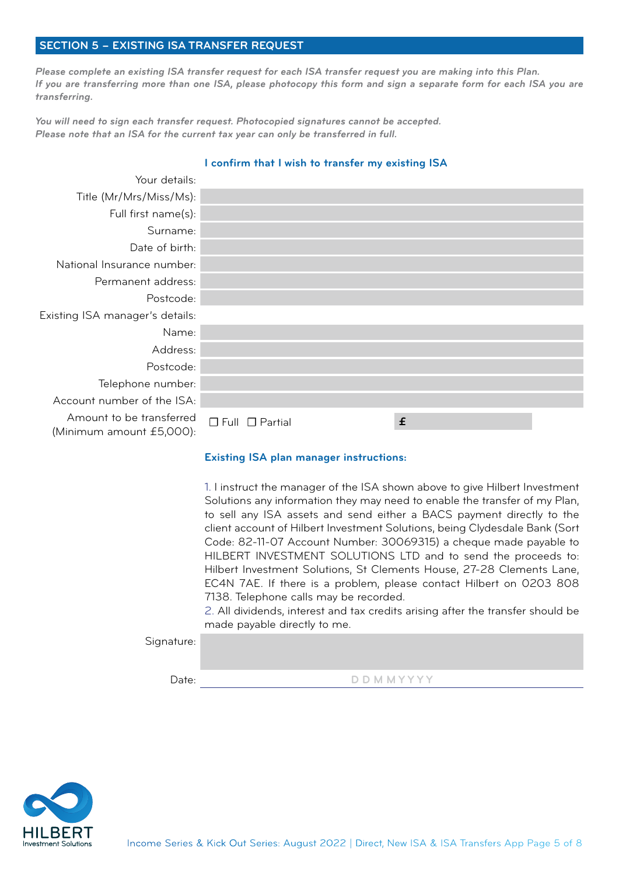## **SECTION 5 – EXISTING ISA TRANSFER REQUEST**

*Please complete an existing ISA transfer request for each ISA transfer request you are making into this Plan. If you are transferring more than one ISA, please photocopy this form and sign a separate form for each ISA you are transferring.* 

*You will need to sign each transfer request. Photocopied signatures cannot be accepted. Please note that an ISA for the current tax year can only be transferred in full.*

| Your details:                                        |                            |   |
|------------------------------------------------------|----------------------------|---|
| Title (Mr/Mrs/Miss/Ms):                              |                            |   |
| Full first name(s):                                  |                            |   |
| Surname:                                             |                            |   |
| Date of birth:                                       |                            |   |
| National Insurance number:                           |                            |   |
| Permanent address:                                   |                            |   |
| Postcode:                                            |                            |   |
| Existing ISA manager's details:                      |                            |   |
| Name:                                                |                            |   |
| Address:                                             |                            |   |
| Postcode:                                            |                            |   |
| Telephone number:                                    |                            |   |
| Account number of the ISA:                           |                            |   |
| Amount to be transferred<br>(Minimum amount £5,000): | $\Box$ Full $\Box$ Partial | £ |

### **I confirm that I wish to transfer my existing ISA**

### **Existing ISA plan manager instructions:**

1. I instruct the manager of the ISA shown above to give Hilbert Investment Solutions any information they may need to enable the transfer of my Plan, to sell any ISA assets and send either a BACS payment directly to the client account of Hilbert Investment Solutions, being Clydesdale Bank (Sort Code: 82-11-07 Account Number: 30069315) a cheque made payable to HILBERT INVESTMENT SOLUTIONS LTD and to send the proceeds to: Hilbert Investment Solutions, St Clements House, 27-28 Clements Lane, EC4N 7AE. If there is a problem, please contact Hilbert on 0203 808 7138. Telephone calls may be recorded.

2. All dividends, interest and tax credits arising after the transfer should be made payable directly to me.

Signature:

D D M M Y Y Y Y Y V D D M M Y Y Y Y

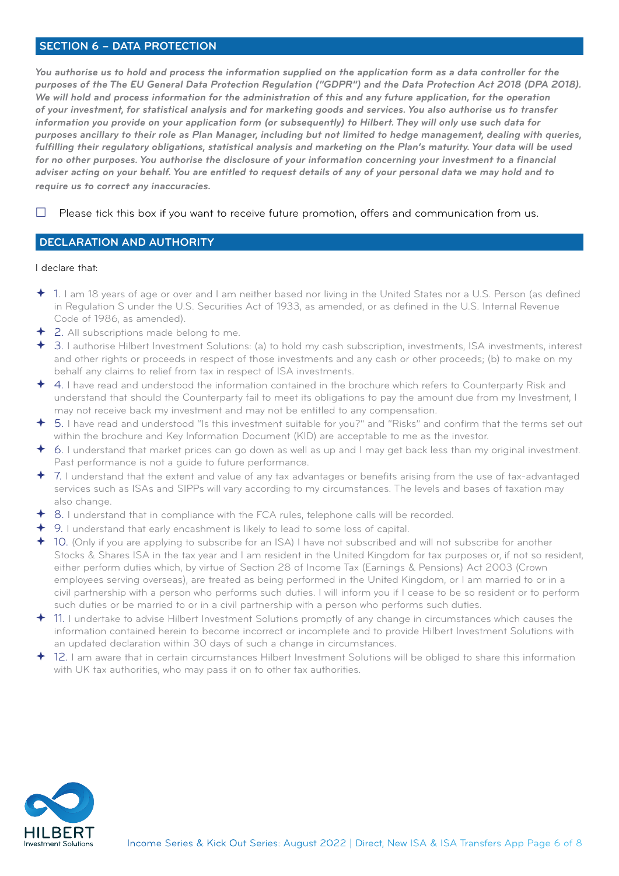## **SECTION 6 – DATA PROTECTION**

*You authorise us to hold and process the information supplied on the application form as a data controller for the purposes of the The EU General Data Protection Regulation ("GDPR") and the Data Protection Act 2018 (DPA 2018). We will hold and process information for the administration of this and any future application, for the operation of your investment, for statistical analysis and for marketing goods and services. You also authorise us to transfer information you provide on your application form (or subsequently) to Hilbert. They will only use such data for purposes ancillary to their role as Plan Manager, including but not limited to hedge management, dealing with queries, fulfilling their regulatory obligations, statistical analysis and marketing on the Plan's maturity. Your data will be used for no other purposes. You authorise the disclosure of your information concerning your investment to a financial adviser acting on your behalf. You are entitled to request details of any of your personal data we may hold and to require us to correct any inaccuracies.*

 $\Box$  Please tick this box if you want to receive future promotion, offers and communication from us.

### **DECLARATION AND AUTHORITY**

#### I declare that:

- 1. I am 18 years of age or over and I am neither based nor living in the United States nor a U.S. Person (as defined in Regulation S under the U.S. Securities Act of 1933, as amended, or as defined in the U.S. Internal Revenue Code of 1986, as amended).
- 2. All subscriptions made belong to me.
- 3. I authorise Hilbert Investment Solutions: (a) to hold my cash subscription, investments, ISA investments, interest and other rights or proceeds in respect of those investments and any cash or other proceeds; (b) to make on my behalf any claims to relief from tax in respect of ISA investments.
- 4. I have read and understood the information contained in the brochure which refers to Counterparty Risk and understand that should the Counterparty fail to meet its obligations to pay the amount due from my Investment, I may not receive back my investment and may not be entitled to any compensation.
- 5. I have read and understood "Is this investment suitable for you?" and "Risks" and confirm that the terms set out within the brochure and Key Information Document (KID) are acceptable to me as the investor.
- 6. I understand that market prices can go down as well as up and I may get back less than my original investment. Past performance is not a guide to future performance.
- 7. I understand that the extent and value of any tax advantages or benefits arising from the use of tax-advantaged services such as ISAs and SIPPs will vary according to my circumstances. The levels and bases of taxation may also change.
- 8. I understand that in compliance with the FCA rules, telephone calls will be recorded.
- 9. I understand that early encashment is likely to lead to some loss of capital.
- 10. (Only if you are applying to subscribe for an ISA) I have not subscribed and will not subscribe for another Stocks & Shares ISA in the tax year and I am resident in the United Kingdom for tax purposes or, if not so resident, either perform duties which, by virtue of Section 28 of Income Tax (Earnings & Pensions) Act 2003 (Crown employees serving overseas), are treated as being performed in the United Kingdom, or I am married to or in a civil partnership with a person who performs such duties. I will inform you if I cease to be so resident or to perform such duties or be married to or in a civil partnership with a person who performs such duties.
- 11. I undertake to advise Hilbert Investment Solutions promptly of any change in circumstances which causes the information contained herein to become incorrect or incomplete and to provide Hilbert Investment Solutions with an updated declaration within 30 days of such a change in circumstances.
- 12. I am aware that in certain circumstances Hilbert Investment Solutions will be obliged to share this information with UK tax authorities, who may pass it on to other tax authorities.

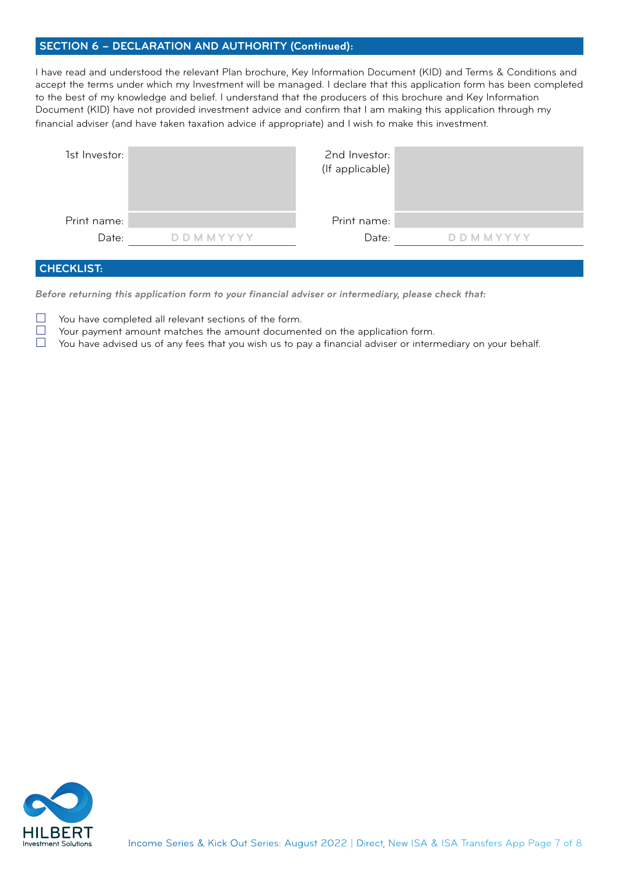# **SECTION 6 – DECLARATION AND AUTHORITY (Continued):**

I have read and understood the relevant Plan brochure, Key Information Document (KID) and Terms & Conditions and accept the terms under which my Investment will be managed. I declare that this application form has been completed to the best of my knowledge and belief. I understand that the producers of this brochure and Key Information Document (KID) have not provided investment advice and confirm that I am making this application through my financial adviser (and have taken taxation advice if appropriate) and I wish to make this investment.

| 1st Investor: |                 | 2nd Investor:<br>(If applicable) |                 |
|---------------|-----------------|----------------------------------|-----------------|
| Print name:   |                 | Print name:                      |                 |
| Date:         | <b>DDMMYYYY</b> | Date:                            | <b>DDMMYYYY</b> |
|               |                 |                                  |                 |

# **CHECKLIST:**

*Before returning this application form to your financial adviser or intermediary, please check that:*

 $\Box$  You have completed all relevant sections of the form.<br> $\Box$  Your payment amount matches the amount document

 $\Box$  Your payment amount matches the amount documented on the application form.<br> $\Box$  You have advised us of any fees that you wish us to pay a financial adviser or interr

You have advised us of any fees that you wish us to pay a financial adviser or intermediary on your behalf.